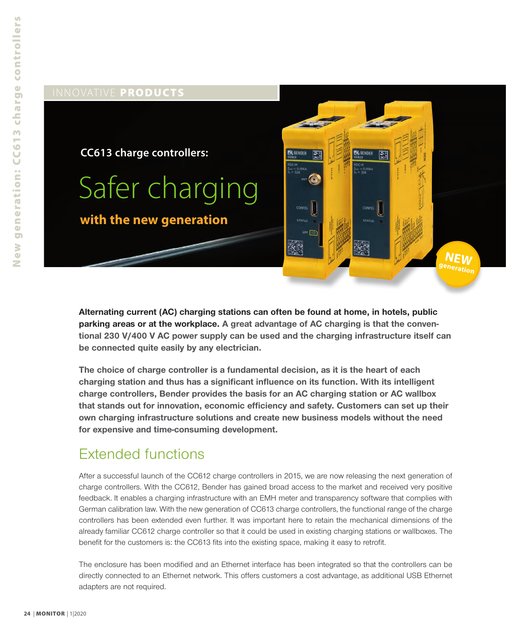

**Alternating current (AC) charging stations can often be found at home, in hotels, public parking areas or at the workplace. A great advantage of AC charging is that the conventional 230 V/400 V AC power supply can be used and the charging infrastructure itself can be connected quite easily by any electrician.**

**The choice of charge controller is a fundamental decision, as it is the heart of each charging station and thus has a significant influence on its function. With its intelligent charge controllers, Bender provides the basis for an AC charging station or AC wallbox that stands out for innovation, economic efficiency and safety. Customers can set up their own charging infrastructure solutions and create new business models without the need for expensive and time-consuming development.**

## Extended functions

After a successful launch of the CC612 charge controllers in 2015, we are now releasing the next generation of charge controllers. With the CC612, Bender has gained broad access to the market and received very positive feedback. It enables a charging infrastructure with an EMH meter and transparency software that complies with German calibration law. With the new generation of CC613 charge controllers, the functional range of the charge controllers has been extended even further. It was important here to retain the mechanical dimensions of the already familiar CC612 charge controller so that it could be used in existing charging stations or wallboxes. The benefit for the customers is: the CC613 fits into the existing space, making it easy to retrofit.

The enclosure has been modified and an Ethernet interface has been integrated so that the controllers can be directly connected to an Ethernet network. This offers customers a cost advantage, as additional USB Ethernet adapters are not required.